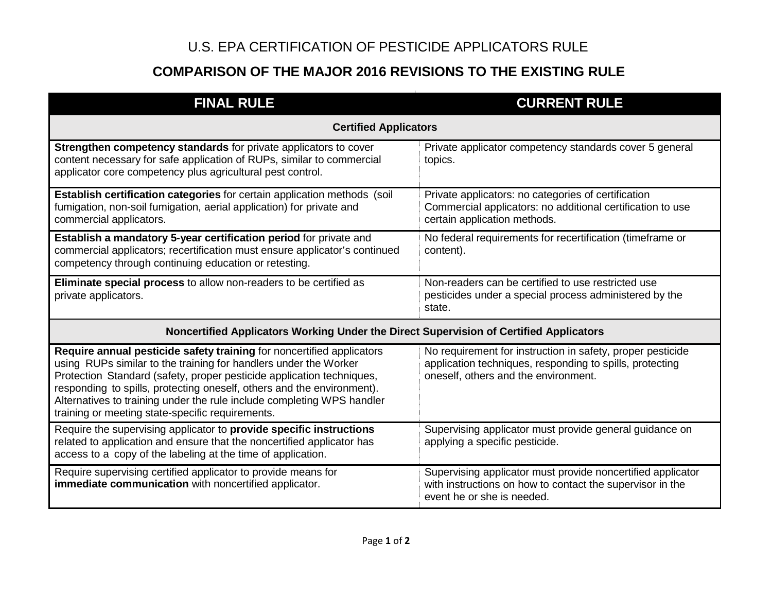## U.S. EPA CERTIFICATION OF PESTICIDE APPLICATORS RULE

## **COMPARISON OF THE MAJOR 2016 REVISIONS TO THE EXISTING RULE**

| <b>FINAL RULE</b>                                                                                                                                                                                                                                                                                                                                                                                                          | <b>CURRENT RULE</b>                                                                                                                                            |  |
|----------------------------------------------------------------------------------------------------------------------------------------------------------------------------------------------------------------------------------------------------------------------------------------------------------------------------------------------------------------------------------------------------------------------------|----------------------------------------------------------------------------------------------------------------------------------------------------------------|--|
| <b>Certified Applicators</b>                                                                                                                                                                                                                                                                                                                                                                                               |                                                                                                                                                                |  |
| Strengthen competency standards for private applicators to cover<br>content necessary for safe application of RUPs, similar to commercial<br>applicator core competency plus agricultural pest control.                                                                                                                                                                                                                    | Private applicator competency standards cover 5 general<br>topics.                                                                                             |  |
| Establish certification categories for certain application methods (soil<br>fumigation, non-soil fumigation, aerial application) for private and<br>commercial applicators.                                                                                                                                                                                                                                                | Private applicators: no categories of certification<br>Commercial applicators: no additional certification to use<br>certain application methods.              |  |
| Establish a mandatory 5-year certification period for private and<br>commercial applicators; recertification must ensure applicator's continued<br>competency through continuing education or retesting.                                                                                                                                                                                                                   | No federal requirements for recertification (timeframe or<br>content).                                                                                         |  |
| Eliminate special process to allow non-readers to be certified as<br>private applicators.                                                                                                                                                                                                                                                                                                                                  | Non-readers can be certified to use restricted use<br>pesticides under a special process administered by the<br>state.                                         |  |
| Noncertified Applicators Working Under the Direct Supervision of Certified Applicators                                                                                                                                                                                                                                                                                                                                     |                                                                                                                                                                |  |
| Require annual pesticide safety training for noncertified applicators<br>using RUPs similar to the training for handlers under the Worker<br>Protection Standard (safety, proper pesticide application techniques,<br>responding to spills, protecting oneself, others and the environment).<br>Alternatives to training under the rule include completing WPS handler<br>training or meeting state-specific requirements. | No requirement for instruction in safety, proper pesticide<br>application techniques, responding to spills, protecting<br>oneself, others and the environment. |  |
| Require the supervising applicator to provide specific instructions<br>related to application and ensure that the noncertified applicator has<br>access to a copy of the labeling at the time of application.                                                                                                                                                                                                              | Supervising applicator must provide general guidance on<br>applying a specific pesticide.                                                                      |  |
| Require supervising certified applicator to provide means for<br>immediate communication with noncertified applicator.                                                                                                                                                                                                                                                                                                     | Supervising applicator must provide noncertified applicator<br>with instructions on how to contact the supervisor in the<br>event he or she is needed.         |  |